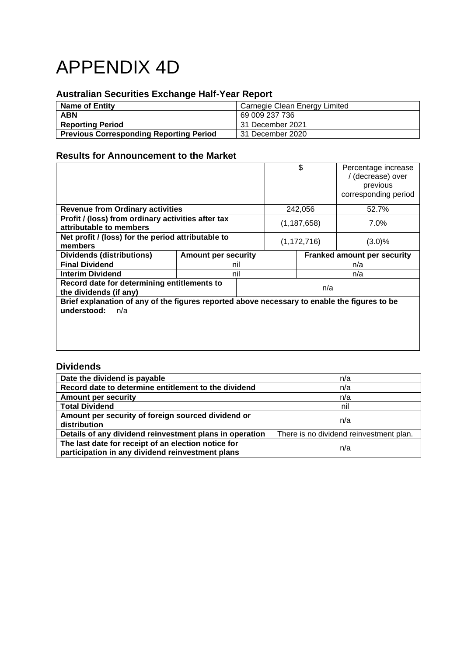# APPENDIX 4D

## **Australian Securities Exchange Half-Year Report**

| <b>Name of Entity</b>                          | Carnegie Clean Energy Limited |
|------------------------------------------------|-------------------------------|
| <b>ABN</b>                                     | 69 009 237 736                |
| <b>Reporting Period</b>                        | 31 December 2021              |
| <b>Previous Corresponding Reporting Period</b> | 31 December 2020              |

## **Results for Announcement to the Market**

|                                                                                                                    |                            | \$            | Percentage increase<br>/ (decrease) over |
|--------------------------------------------------------------------------------------------------------------------|----------------------------|---------------|------------------------------------------|
|                                                                                                                    |                            |               | previous                                 |
|                                                                                                                    |                            |               | corresponding period                     |
| <b>Revenue from Ordinary activities</b>                                                                            |                            | 242,056       | 52.7%                                    |
| Profit / (loss) from ordinary activities after tax                                                                 |                            | (1, 187, 658) | 7.0%                                     |
| attributable to members                                                                                            |                            |               |                                          |
| Net profit / (loss) for the period attributable to                                                                 |                            | (1, 172, 716) | (3.0)%                                   |
| members                                                                                                            |                            |               |                                          |
| <b>Dividends (distributions)</b>                                                                                   | <b>Amount per security</b> |               | Franked amount per security              |
| <b>Final Dividend</b>                                                                                              | nil                        | n/a           |                                          |
|                                                                                                                    |                            |               |                                          |
| <b>Interim Dividend</b>                                                                                            | nil                        |               | n/a                                      |
| Record date for determining entitlements to<br>the dividends (if any)                                              |                            | n/a           |                                          |
| Brief explanation of any of the figures reported above necessary to enable the figures to be<br>understood:<br>n/a |                            |               |                                          |

## **Dividends**

| Date the dividend is payable                                                                            | n/a                                     |
|---------------------------------------------------------------------------------------------------------|-----------------------------------------|
| Record date to determine entitlement to the dividend                                                    | n/a                                     |
| <b>Amount per security</b>                                                                              | n/a                                     |
| <b>Total Dividend</b>                                                                                   | nil                                     |
| Amount per security of foreign sourced dividend or<br>distribution                                      | n/a                                     |
| Details of any dividend reinvestment plans in operation                                                 | There is no dividend reinvestment plan. |
| The last date for receipt of an election notice for<br>participation in any dividend reinvestment plans | n/a                                     |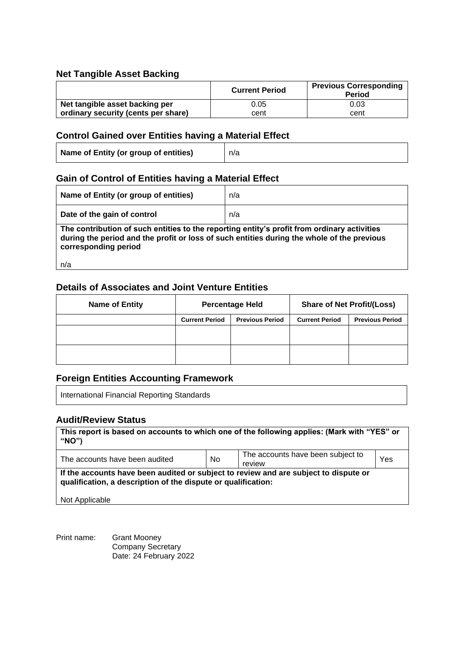## **Net Tangible Asset Backing**

|                                     | <b>Current Period</b> | <b>Previous Corresponding</b><br><b>Period</b> |
|-------------------------------------|-----------------------|------------------------------------------------|
| Net tangible asset backing per      | 0.05                  | 0.03                                           |
| ordinary security (cents per share) | cent                  | cent                                           |

## **Control Gained over Entities having a Material Effect**

| Name of Entity (or group of entities) | n/a |
|---------------------------------------|-----|
|---------------------------------------|-----|

## **Gain of Control of Entities having a Material Effect**

| Name of Entity (or group of entities)                                                                                                                                                                             | n/a |  |
|-------------------------------------------------------------------------------------------------------------------------------------------------------------------------------------------------------------------|-----|--|
| Date of the gain of control                                                                                                                                                                                       | n/a |  |
| The contribution of such entities to the reporting entity's profit from ordinary activities<br>during the period and the profit or loss of such entities during the whole of the previous<br>corresponding period |     |  |
| n/a                                                                                                                                                                                                               |     |  |

## **Details of Associates and Joint Venture Entities**

| <b>Name of Entity</b> | <b>Percentage Held</b> |                        | <b>Share of Net Profit/(Loss)</b> |                        |
|-----------------------|------------------------|------------------------|-----------------------------------|------------------------|
|                       | <b>Current Period</b>  | <b>Previous Period</b> | <b>Current Period</b>             | <b>Previous Period</b> |
|                       |                        |                        |                                   |                        |
|                       |                        |                        |                                   |                        |

## **Foreign Entities Accounting Framework**

International Financial Reporting Standards

## **Audit/Review Status**

| This report is based on accounts to which one of the following applies: (Mark with "YES" or<br>"NO")                                                                    |           |                                             |     |
|-------------------------------------------------------------------------------------------------------------------------------------------------------------------------|-----------|---------------------------------------------|-----|
| The accounts have been audited                                                                                                                                          | <b>No</b> | The accounts have been subject to<br>review | Yes |
| If the accounts have been audited or subject to review and are subject to dispute or<br>qualification, a description of the dispute or qualification:<br>Not Applicable |           |                                             |     |

Print name: Grant Mooney Company Secretary Date: 24 February 2022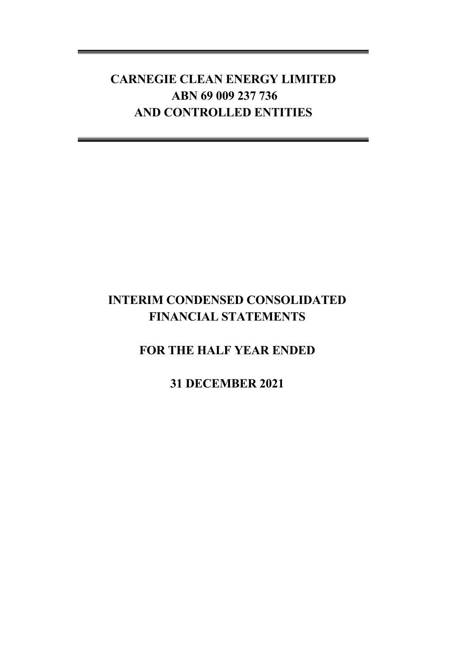## **INTERIM CONDENSED CONSOLIDATED FINANCIAL STATEMENTS**

## **FOR THE HALF YEAR ENDED**

**31 DECEMBER 2021**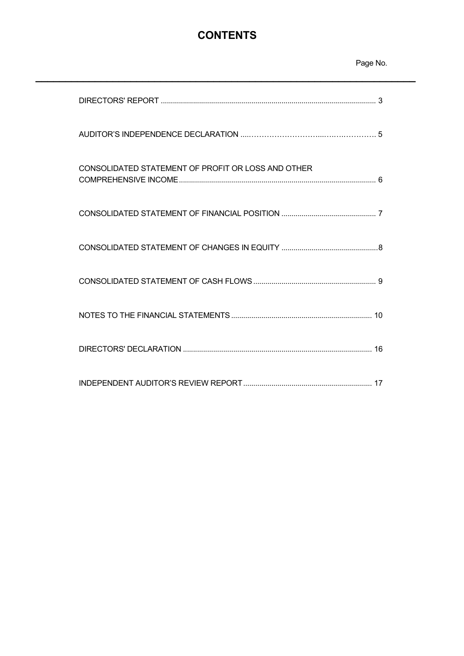## **CONTENTS**

**\_\_\_\_\_\_\_\_\_\_\_\_\_\_\_\_\_\_\_\_\_\_\_\_\_\_\_\_\_\_\_\_\_\_\_\_\_\_\_\_\_\_\_\_\_\_\_\_\_\_\_\_\_\_\_\_\_\_\_\_\_\_\_\_**

## Page No.

| CONSOLIDATED STATEMENT OF PROFIT OR LOSS AND OTHER |
|----------------------------------------------------|
|                                                    |
|                                                    |
|                                                    |
|                                                    |
|                                                    |
|                                                    |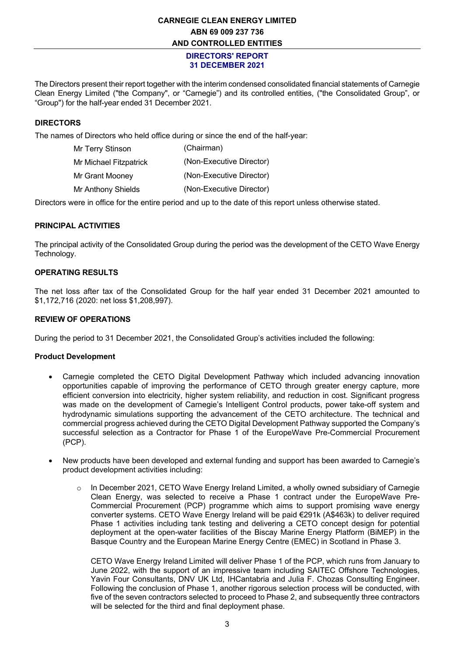#### **DIRECTORS' REPORT 31 DECEMBER 2021**

The Directors present their report together with the interim condensed consolidated financial statements of Carnegie Clean Energy Limited ("the Company", or "Carnegie") and its controlled entities, ("the Consolidated Group", or "Group") for the half-year ended 31 December 2021.

### **DIRECTORS**

The names of Directors who held office during or since the end of the half-year:

| (Chairman)               |
|--------------------------|
| (Non-Executive Director) |
| (Non-Executive Director) |
| (Non-Executive Director) |
|                          |

Directors were in office for the entire period and up to the date of this report unless otherwise stated.

#### **PRINCIPAL ACTIVITIES**

The principal activity of the Consolidated Group during the period was the development of the CETO Wave Energy Technology.

#### **OPERATING RESULTS**

The net loss after tax of the Consolidated Group for the half year ended 31 December 2021 amounted to \$1,172,716 (2020: net loss \$1,208,997).

#### **REVIEW OF OPERATIONS**

During the period to 31 December 2021, the Consolidated Group's activities included the following:

#### **Product Development**

- Carnegie completed the CETO Digital Development Pathway which included advancing innovation opportunities capable of improving the performance of CETO through greater energy capture, more efficient conversion into electricity, higher system reliability, and reduction in cost. Significant progress was made on the development of Carnegie's Intelligent Control products, power take-off system and hydrodynamic simulations supporting the advancement of the CETO architecture. The technical and commercial progress achieved during the CETO Digital Development Pathway supported the Company's successful selection as a Contractor for Phase 1 of the EuropeWave Pre-Commercial Procurement (PCP).
- New products have been developed and external funding and support has been awarded to Carnegie's product development activities including:
	- $\circ$  In December 2021, CETO Wave Energy Ireland Limited, a wholly owned subsidiary of Carnegie Clean Energy, was selected to receive a Phase 1 contract under the EuropeWave Pre-Commercial Procurement (PCP) programme which aims to support promising wave energy converter systems. CETO Wave Energy Ireland will be paid €291k (A\$463k) to deliver required Phase 1 activities including tank testing and delivering a CETO concept design for potential deployment at the open-water facilities of the Biscay Marine Energy Platform (BiMEP) in the Basque Country and the European Marine Energy Centre (EMEC) in Scotland in Phase 3.

CETO Wave Energy Ireland Limited will deliver Phase 1 of the PCP, which runs from January to June 2022, with the support of an impressive team including SAITEC Offshore Technologies, Yavin Four Consultants, DNV UK Ltd, IHCantabria and Julia F. Chozas Consulting Engineer. Following the conclusion of Phase 1, another rigorous selection process will be conducted, with five of the seven contractors selected to proceed to Phase 2, and subsequently three contractors will be selected for the third and final deployment phase.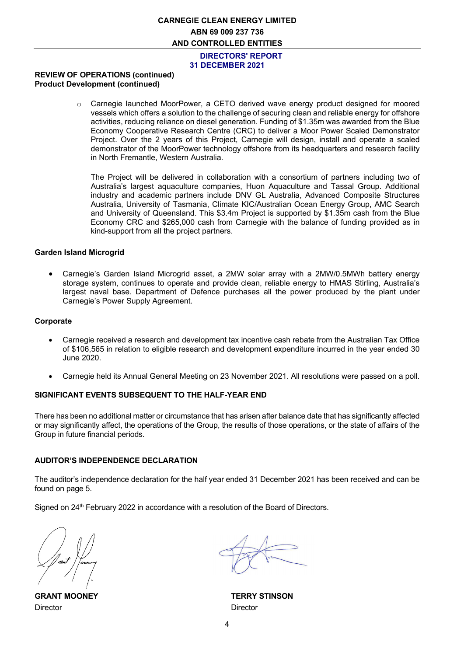**DIRECTORS' REPORT 31 DECEMBER 2021**

#### **REVIEW OF OPERATIONS (continued) Product Development (continued)**

o Carnegie launched MoorPower, a CETO derived wave energy product designed for moored vessels which offers a solution to the challenge of securing clean and reliable energy for offshore activities, reducing reliance on diesel generation. Funding of \$1.35m was awarded from the Blue Economy Cooperative Research Centre (CRC) to deliver a Moor Power Scaled Demonstrator Project. Over the 2 years of this Project, Carnegie will design, install and operate a scaled demonstrator of the MoorPower technology offshore from its headquarters and research facility in North Fremantle, Western Australia.

The Project will be delivered in collaboration with a consortium of partners including two of Australia's largest aquaculture companies, Huon Aquaculture and Tassal Group. Additional industry and academic partners include DNV GL Australia, Advanced Composite Structures Australia, University of Tasmania, Climate KIC/Australian Ocean Energy Group, AMC Search and University of Queensland. This \$3.4m Project is supported by \$1.35m cash from the Blue Economy CRC and \$265,000 cash from Carnegie with the balance of funding provided as in kind-support from all the project partners.

#### **Garden Island Microgrid**

• Carnegie's Garden Island Microgrid asset, a 2MW solar array with a 2MW/0.5MWh battery energy storage system, continues to operate and provide clean, reliable energy to HMAS Stirling, Australia's largest naval base. Department of Defence purchases all the power produced by the plant under Carnegie's Power Supply Agreement.

#### **Corporate**

- Carnegie received a research and development tax incentive cash rebate from the Australian Tax Office of \$106,565 in relation to eligible research and development expenditure incurred in the year ended 30 June 2020.
- Carnegie held its Annual General Meeting on 23 November 2021. All resolutions were passed on a poll.

#### **SIGNIFICANT EVENTS SUBSEQUENT TO THE HALF-YEAR END**

There has been no additional matter or circumstance that has arisen after balance date that has significantly affected or may significantly affect, the operations of the Group, the results of those operations, or the state of affairs of the Group in future financial periods.

#### **AUDITOR'S INDEPENDENCE DECLARATION**

The auditor's independence declaration for the half year ended 31 December 2021 has been received and can be found on page 5.

Signed on 24<sup>th</sup> February 2022 in accordance with a resolution of the Board of Directors.

Director Director

**GRANT MOONEY TERRY STINSON**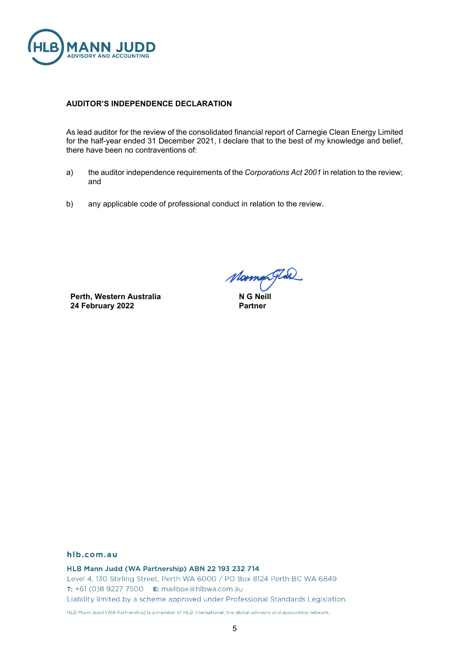

#### **AUDITOR'S INDEPENDENCE DECLARATION**

As lead auditor for the review of the consolidated financial report of Carnegie Clean Energy Limited for the half-year ended 31 December 2021, I declare that to the best of my knowledge and belief, there have been no contraventions of:

- a) the auditor independence requirements of the *Corporations Act 2001* in relation to the review; and
- b) any applicable code of professional conduct in relation to the review.

**Perth, Western Australia 24 February 2022**

*Morman Glad*<br>NG Neill

**Partner**

#### hlb.com.au

HLB Mann Judd (WA Partnership) ABN 22 193 232 714 Level 4, 130 Stirling Street, Perth WA 6000 / PO Box 8124 Perth BC WA 6849 T: +61 (0)8 9227 7500 E: mailbox@hlbwa.com.au Liability limited by a scheme approved under Professional Standards Legislation.

HLB Mann Judd (WA Partnership) is a member of HLB International, the global advisory and accounting network.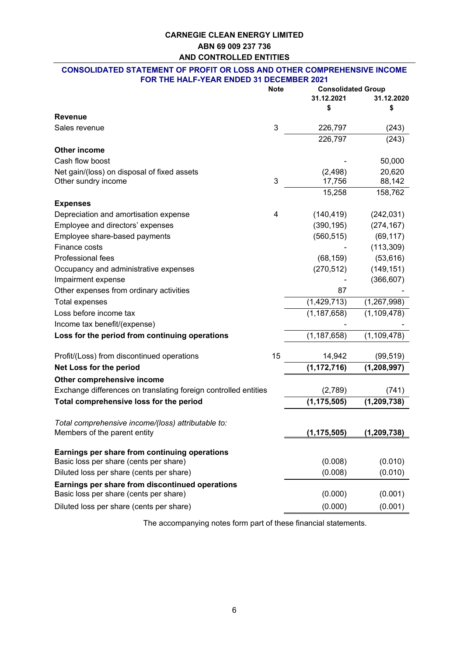#### **CONSOLIDATED STATEMENT OF PROFIT OR LOSS AND OTHER COMPREHENSIVE INCOME FOR THE HALF-YEAR ENDED 31 DECEMBER 2021**

|                                                                 | <b>Note</b>               | <b>Consolidated Group</b> |               |  |
|-----------------------------------------------------------------|---------------------------|---------------------------|---------------|--|
|                                                                 |                           | 31.12.2021                | 31.12.2020    |  |
|                                                                 |                           | \$                        | \$            |  |
| <b>Revenue</b>                                                  |                           |                           |               |  |
| Sales revenue                                                   | $\ensuremath{\mathsf{3}}$ | 226,797                   | (243)         |  |
|                                                                 |                           | 226,797                   | (243)         |  |
| <b>Other income</b>                                             |                           |                           |               |  |
| Cash flow boost                                                 |                           |                           | 50,000        |  |
| Net gain/(loss) on disposal of fixed assets                     |                           | (2, 498)                  | 20,620        |  |
| Other sundry income                                             | 3                         | 17,756                    | 88,142        |  |
|                                                                 |                           | 15,258                    | 158,762       |  |
| <b>Expenses</b>                                                 |                           |                           |               |  |
| Depreciation and amortisation expense                           | 4                         | (140, 419)                | (242, 031)    |  |
| Employee and directors' expenses                                |                           | (390, 195)                | (274, 167)    |  |
| Employee share-based payments                                   |                           | (560, 515)                | (69, 117)     |  |
| Finance costs                                                   |                           |                           | (113, 309)    |  |
| Professional fees                                               |                           | (68, 159)                 | (53, 616)     |  |
| Occupancy and administrative expenses                           |                           | (270, 512)                | (149, 151)    |  |
| Impairment expense                                              |                           |                           | (366, 607)    |  |
| Other expenses from ordinary activities                         |                           | 87                        |               |  |
| <b>Total expenses</b>                                           |                           | (1,429,713)               | (1, 267, 998) |  |
| Loss before income tax                                          |                           | (1, 187, 658)             | (1, 109, 478) |  |
| Income tax benefit/(expense)                                    |                           |                           |               |  |
| Loss for the period from continuing operations                  |                           | (1, 187, 658)             | (1, 109, 478) |  |
| Profit/(Loss) from discontinued operations                      | 15                        | 14,942                    | (99, 519)     |  |
| Net Loss for the period                                         |                           | (1, 172, 716)             | (1, 208, 997) |  |
| Other comprehensive income                                      |                           |                           |               |  |
| Exchange differences on translating foreign controlled entities |                           | (2,789)                   | (741)         |  |
| Total comprehensive loss for the period                         |                           | (1, 175, 505)             | (1, 209, 738) |  |
|                                                                 |                           |                           |               |  |
| Total comprehensive income/(loss) attributable to:              |                           |                           |               |  |
| Members of the parent entity                                    |                           | (1, 175, 505)             | (1, 209, 738) |  |
| Earnings per share from continuing operations                   |                           |                           |               |  |
| Basic loss per share (cents per share)                          |                           | (0.008)                   | (0.010)       |  |
| Diluted loss per share (cents per share)                        |                           | (0.008)                   | (0.010)       |  |
| Earnings per share from discontinued operations                 |                           |                           |               |  |
| Basic loss per share (cents per share)                          |                           | (0.000)                   | (0.001)       |  |
| Diluted loss per share (cents per share)                        |                           | (0.000)                   | (0.001)       |  |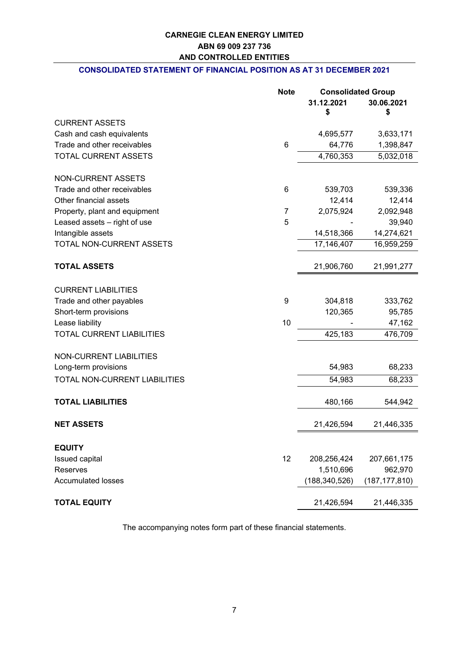### **CONSOLIDATED STATEMENT OF FINANCIAL POSITION AS AT 31 DECEMBER 2021**

|                                  | <b>Note</b>    | <b>Consolidated Group</b> |                 |
|----------------------------------|----------------|---------------------------|-----------------|
|                                  |                | 31.12.2021                | 30.06.2021      |
|                                  |                | \$                        | \$              |
| <b>CURRENT ASSETS</b>            |                |                           |                 |
| Cash and cash equivalents        |                | 4,695,577                 | 3,633,171       |
| Trade and other receivables      | 6              | 64,776                    | 1,398,847       |
| TOTAL CURRENT ASSETS             |                | 4,760,353                 | 5,032,018       |
| <b>NON-CURRENT ASSETS</b>        |                |                           |                 |
| Trade and other receivables      | 6              | 539,703                   | 539,336         |
| Other financial assets           |                | 12,414                    | 12,414          |
| Property, plant and equipment    | $\overline{7}$ | 2,075,924                 | 2,092,948       |
| Leased assets - right of use     | 5              |                           | 39,940          |
| Intangible assets                |                | 14,518,366                | 14,274,621      |
| <b>TOTAL NON-CURRENT ASSETS</b>  |                | 17,146,407                | 16,959,259      |
| <b>TOTAL ASSETS</b>              |                | 21,906,760                | 21,991,277      |
|                                  |                |                           |                 |
| <b>CURRENT LIABILITIES</b>       |                |                           |                 |
| Trade and other payables         | 9              | 304,818                   | 333,762         |
| Short-term provisions            |                | 120,365                   | 95,785          |
| Lease liability                  | 10             |                           | 47,162          |
| <b>TOTAL CURRENT LIABILITIES</b> |                | 425,183                   | 476,709         |
| <b>NON-CURRENT LIABILITIES</b>   |                |                           |                 |
| Long-term provisions             |                | 54,983                    | 68,233          |
| TOTAL NON-CURRENT LIABILITIES    |                | 54,983                    | 68,233          |
| <b>TOTAL LIABILITIES</b>         |                | 480,166                   | 544,942         |
|                                  |                |                           |                 |
| <b>NET ASSETS</b>                |                | 21,426,594                | 21,446,335      |
| <b>EQUITY</b>                    |                |                           |                 |
| Issued capital                   | 12             | 208,256,424               | 207,661,175     |
| Reserves                         |                | 1,510,696                 | 962,970         |
| <b>Accumulated losses</b>        |                | (188, 340, 526)           | (187, 177, 810) |
| <b>TOTAL EQUITY</b>              |                | 21,426,594                | 21,446,335      |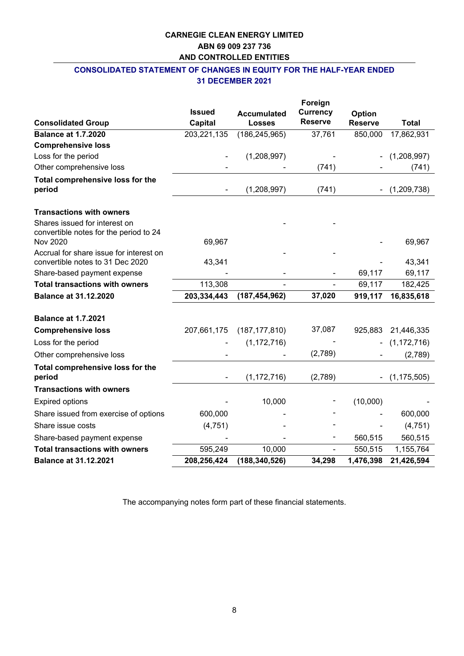## **CONSOLIDATED STATEMENT OF CHANGES IN EQUITY FOR THE HALF-YEAR ENDED 31 DECEMBER 2021**

|                                                                             |                |                    | Foreign         |                |                  |
|-----------------------------------------------------------------------------|----------------|--------------------|-----------------|----------------|------------------|
|                                                                             | <b>Issued</b>  | <b>Accumulated</b> | <b>Currency</b> | Option         |                  |
| <b>Consolidated Group</b>                                                   | <b>Capital</b> | <b>Losses</b>      | <b>Reserve</b>  | <b>Reserve</b> | <b>Total</b>     |
| <b>Balance at 1.7.2020</b>                                                  | 203,221,135    | (186, 245, 965)    | 37,761          | 850,000        | 17,862,931       |
| <b>Comprehensive loss</b>                                                   |                |                    |                 |                |                  |
| Loss for the period                                                         |                | (1,208,997)        |                 |                | (1,208,997)      |
| Other comprehensive loss                                                    |                |                    | (741)           |                | (741)            |
| Total comprehensive loss for the                                            |                |                    |                 |                |                  |
| period                                                                      |                | (1,208,997)        | (741)           |                | (1,209,738)      |
| <b>Transactions with owners</b>                                             |                |                    |                 |                |                  |
| Shares issued for interest on<br>convertible notes for the period to 24     |                |                    |                 |                |                  |
| <b>Nov 2020</b>                                                             | 69,967         |                    |                 |                | 69,967           |
| Accrual for share issue for interest on<br>convertible notes to 31 Dec 2020 |                |                    |                 |                |                  |
| Share-based payment expense                                                 | 43,341         |                    |                 | 69,117         | 43,341<br>69,117 |
| <b>Total transactions with owners</b>                                       | 113,308        |                    |                 | 69,117         | 182,425          |
|                                                                             |                | (187, 454, 962)    | 37,020          |                |                  |
| <b>Balance at 31.12.2020</b>                                                | 203,334,443    |                    |                 | 919,117        | 16,835,618       |
| <b>Balance at 1.7.2021</b>                                                  |                |                    |                 |                |                  |
| <b>Comprehensive loss</b>                                                   | 207,661,175    | (187, 177, 810)    | 37,087          | 925,883        | 21,446,335       |
| Loss for the period                                                         |                | (1, 172, 716)      |                 |                | (1, 172, 716)    |
| Other comprehensive loss                                                    |                |                    | (2,789)         |                | (2,789)          |
| Total comprehensive loss for the<br>period                                  |                | (1, 172, 716)      | (2,789)         |                | (1, 175, 505)    |
| <b>Transactions with owners</b>                                             |                |                    |                 |                |                  |
| <b>Expired options</b>                                                      |                | 10,000             |                 | (10,000)       |                  |
| Share issued from exercise of options                                       | 600,000        |                    |                 |                | 600,000          |
| Share issue costs                                                           | (4,751)        |                    |                 |                | (4, 751)         |
| Share-based payment expense                                                 |                |                    |                 | 560,515        | 560,515          |
| <b>Total transactions with owners</b>                                       | 595,249        | 10,000             |                 | 550,515        | 1,155,764        |
| <b>Balance at 31.12.2021</b>                                                | 208,256,424    | (188, 340, 526)    | 34,298          | 1,476,398      | 21,426,594       |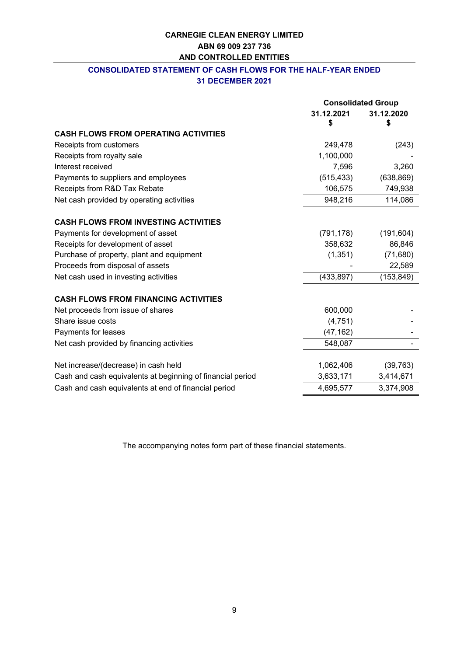## **CONSOLIDATED STATEMENT OF CASH FLOWS FOR THE HALF-YEAR ENDED 31 DECEMBER 2021**

|                                                            | <b>Consolidated Group</b> |            |
|------------------------------------------------------------|---------------------------|------------|
|                                                            | 31.12.2021                | 31.12.2020 |
|                                                            | \$                        | \$         |
| <b>CASH FLOWS FROM OPERATING ACTIVITIES</b>                |                           |            |
| Receipts from customers                                    | 249,478                   | (243)      |
| Receipts from royalty sale                                 | 1,100,000                 |            |
| Interest received                                          | 7,596                     | 3,260      |
| Payments to suppliers and employees                        | (515, 433)                | (638, 869) |
| Receipts from R&D Tax Rebate                               | 106,575                   | 749,938    |
| Net cash provided by operating activities                  | 948,216                   | 114,086    |
| <b>CASH FLOWS FROM INVESTING ACTIVITIES</b>                |                           |            |
| Payments for development of asset                          | (791, 178)                | (191, 604) |
| Receipts for development of asset                          | 358,632                   | 86,846     |
| Purchase of property, plant and equipment                  | (1, 351)                  | (71, 680)  |
| Proceeds from disposal of assets                           |                           | 22,589     |
| Net cash used in investing activities                      | (433, 897)                | (153, 849) |
| <b>CASH FLOWS FROM FINANCING ACTIVITIES</b>                |                           |            |
| Net proceeds from issue of shares                          | 600,000                   |            |
| Share issue costs                                          | (4, 751)                  |            |
| Payments for leases                                        | (47, 162)                 |            |
| Net cash provided by financing activities                  | 548,087                   |            |
| Net increase/(decrease) in cash held                       | 1,062,406                 | (39, 763)  |
| Cash and cash equivalents at beginning of financial period | 3,633,171                 | 3,414,671  |
| Cash and cash equivalents at end of financial period       | 4,695,577                 | 3,374,908  |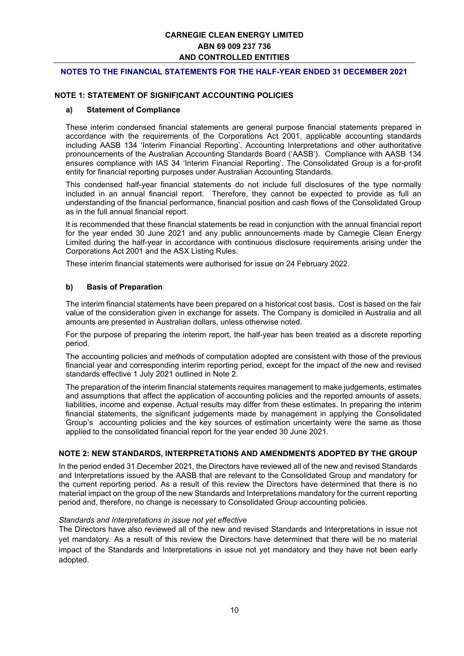#### **NOTES TO THE FINANCIAL STATEMENTS FOR THE HALF-YEAR ENDED 31 DECEMBER 2021**

#### **NOTE 1: STATEMENT OF SIGNIFICANT ACCOUNTING POLICIES**

#### **a) Statement of Compliance**

These interim condensed financial statements are general purpose financial statements prepared in accordance with the requirements of the Corporations Act 2001, applicable accounting standards including AASB 134 'Interim Financial Reporting', Accounting Interpretations and other authoritative pronouncements of the Australian Accounting Standards Board ('AASB'). Compliance with AASB 134 ensures compliance with IAS 34 'Interim Financial Reporting'. The Consolidated Group is a for-profit entity for financial reporting purposes under Australian Accounting Standards.

This condensed half-year financial statements do not include full disclosures of the type normally included in an annual financial report. Therefore, they cannot be expected to provide as full an understanding of the financial performance, financial position and cash flows of the Consolidated Group as in the full annual financial report.

It is recommended that these financial statements be read in conjunction with the annual financial report for the year ended 30 June 2021 and any public announcements made by Carnegie Clean Energy Limited during the half-year in accordance with continuous disclosure requirements arising under the Corporations Act 2001 and the ASX Listing Rules.

These interim financial statements were authorised for issue on 24 February 2022.

#### **b) Basis of Preparation**

The interim financial statements have been prepared on a historical cost basis. Cost is based on the fair value of the consideration given in exchange for assets. The Company is domiciled in Australia and all amounts are presented in Australian dollars, unless otherwise noted.

For the purpose of preparing the interim report, the half-year has been treated as a discrete reporting period.

The accounting policies and methods of computation adopted are consistent with those of the previous financial year and corresponding interim reporting period, except for the impact of the new and revised standards effective 1 July 2021 outlined in Note 2.

The preparation of the interim financial statements requires management to make judgements, estimates and assumptions that affect the application of accounting policies and the reported amounts of assets, liabilities, income and expense. Actual results may differ from these estimates. In preparing the interim financial statements, the significant judgements made by management in applying the Consolidated Group's accounting policies and the key sources of estimation uncertainty were the same as those applied to the consolidated financial report for the year ended 30 June 2021.

#### **NOTE 2: NEW STANDARDS, INTERPRETATIONS AND AMENDMENTS ADOPTED BY THE GROUP**

In the period ended 31 December 2021, the Directors have reviewed all of the new and revised Standards and Interpretations issued by the AASB that are relevant to the Consolidated Group and mandatory for the current reporting period. As a result of this review the Directors have determined that there is no material impact on the group of the new Standards and Interpretations mandatory for the current reporting period and, therefore, no change is necessary to Consolidated Group accounting policies.

#### *Standards and Interpretations in issue not yet effective*

The Directors have also reviewed all of the new and revised Standards and Interpretations in issue not yet mandatory. As a result of this review the Directors have determined that there will be no material impact of the Standards and Interpretations in issue not yet mandatory and they have not been early adopted.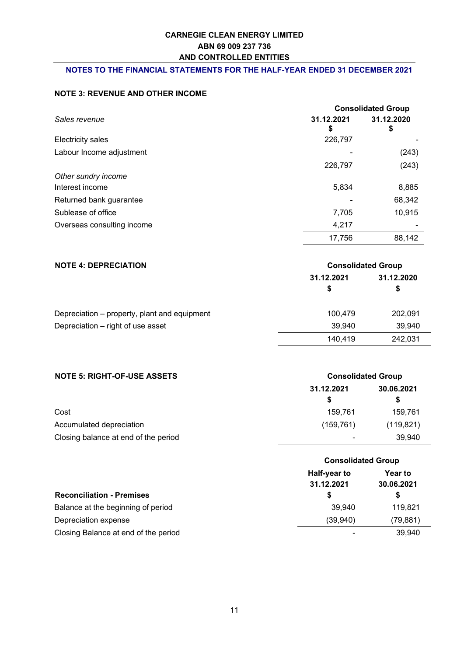#### **NOTES TO THE FINANCIAL STATEMENTS FOR THE HALF-YEAR ENDED 31 DECEMBER 2021**

### **NOTE 3: REVENUE AND OTHER INCOME**

|                            |                  | <b>Consolidated Group</b> |  |  |
|----------------------------|------------------|---------------------------|--|--|
| Sales revenue              | 31.12.2021<br>\$ | 31.12.2020<br>\$          |  |  |
| Electricity sales          | 226,797          |                           |  |  |
| Labour Income adjustment   |                  | (243)                     |  |  |
|                            | 226,797          | (243)                     |  |  |
| Other sundry income        |                  |                           |  |  |
| Interest income            | 5,834            | 8,885                     |  |  |
| Returned bank guarantee    |                  | 68,342                    |  |  |
| Sublease of office         | 7,705            | 10,915                    |  |  |
| Overseas consulting income | 4,217            |                           |  |  |
|                            | 17,756           | 88,142                    |  |  |

| <b>NOTE 4: DEPRECIATION</b>                  | <b>Consolidated Group</b> |                  |  |
|----------------------------------------------|---------------------------|------------------|--|
|                                              | 31.12.2021<br>S           | 31.12.2020<br>\$ |  |
|                                              |                           |                  |  |
| Depreciation – property, plant and equipment | 100.479                   | 202,091          |  |
| Depreciation – right of use asset            | 39.940                    | 39,940           |  |
|                                              | 140,419                   | 242,031          |  |

| <b>NOTE 5: RIGHT-OF-USE ASSETS</b>   | <b>Consolidated Group</b> |            |  |
|--------------------------------------|---------------------------|------------|--|
|                                      | 31.12.2021                | 30.06.2021 |  |
|                                      | S                         | S          |  |
| Cost                                 | 159.761                   | 159.761    |  |
| Accumulated depreciation             | (159,761)                 | (119, 821) |  |
| Closing balance at end of the period | $\overline{\phantom{0}}$  | 39,940     |  |

| <b>Consolidated Group</b>  |                       |
|----------------------------|-----------------------|
| Half-year to<br>31.12.2021 | Year to<br>30.06.2021 |
| S                          | \$                    |
| 39,940                     | 119,821               |
| (39,940)                   | (79, 881)             |
|                            | 39,940                |
|                            |                       |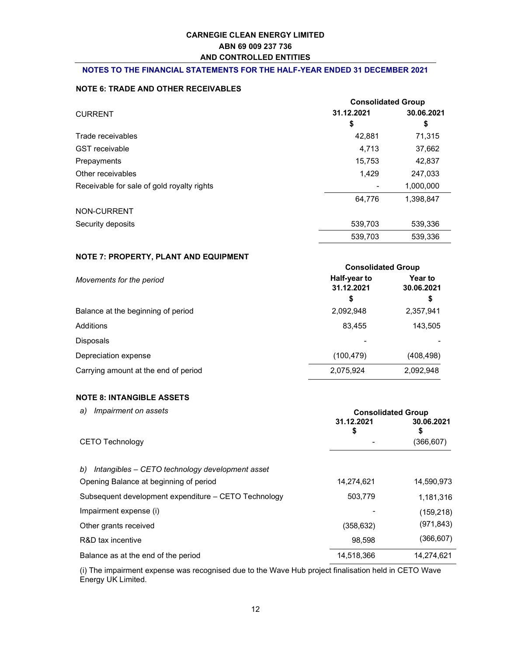#### NOTES TO THE FINANCIAL STATEMENTS FOR THE HALF-YEAR ENDED 31 DECEMBER 2021

#### NOTE 6: TRADE AND OTHER RECEIVABLES

|                                            | <b>Consolidated Group</b> |            |  |
|--------------------------------------------|---------------------------|------------|--|
| <b>CURRENT</b>                             | 31.12.2021                | 30.06.2021 |  |
|                                            | \$                        | \$         |  |
| Trade receivables                          | 42,881                    | 71,315     |  |
| <b>GST</b> receivable                      | 4,713                     | 37,662     |  |
| Prepayments                                | 15,753                    | 42,837     |  |
| Other receivables                          | 1,429                     | 247,033    |  |
| Receivable for sale of gold royalty rights |                           | 1,000,000  |  |
|                                            | 64,776                    | 1,398,847  |  |
| NON-CURRENT                                |                           |            |  |
| Security deposits                          | 539,703                   | 539,336    |  |
|                                            | 539,703                   | 539,336    |  |

#### NOTE 7: PROPERTY, PLANT AND EQUIPMENT

|                                      | <b>Consolidated Group</b>  |                              |  |
|--------------------------------------|----------------------------|------------------------------|--|
| Movements for the period             | Half-year to<br>31.12.2021 | <b>Year to</b><br>30.06.2021 |  |
|                                      | S                          | \$                           |  |
| Balance at the beginning of period   | 2,092,948                  | 2,357,941                    |  |
| Additions                            | 83,455                     | 143,505                      |  |
| <b>Disposals</b>                     |                            |                              |  |
| Depreciation expense                 | (100, 479)                 | (408, 498)                   |  |
| Carrying amount at the end of period | 2,075,924                  | 2,092,948                    |  |

### NOTE 8: INTANGIBLE ASSETS

| Impairment on assets<br>a)                            | <b>Consolidated Group</b><br>31.12.2021<br>30.06.2021<br>\$<br>\$ |            |
|-------------------------------------------------------|-------------------------------------------------------------------|------------|
| <b>CETO Technology</b>                                |                                                                   | (366, 607) |
| Intangibles – CETO technology development asset<br>b) |                                                                   |            |
| Opening Balance at beginning of period                | 14,274,621                                                        | 14,590,973 |
| Subsequent development expenditure - CETO Technology  | 503,779                                                           | 1,181,316  |
| Impairment expense (i)                                |                                                                   | (159, 218) |
| Other grants received                                 | (358, 632)                                                        | (971, 843) |
| R&D tax incentive                                     | 98,598                                                            | (366,607)  |
| Balance as at the end of the period                   | 14.518.366                                                        | 14.274.621 |

(i) The impairment expense was recognised due to the Wave Hub project finalisation held in CETO Wave Energy UK Limited.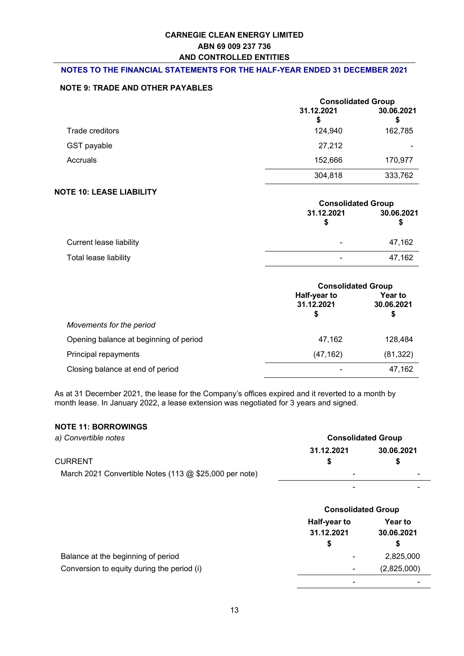#### **NOTES TO THE FINANCIAL STATEMENTS FOR THE HALF-YEAR ENDED 31 DECEMBER 2021**

#### **NOTE 9: TRADE AND OTHER PAYABLES**

|                 |                 | <b>Consolidated Group</b> |  |
|-----------------|-----------------|---------------------------|--|
|                 | 31.12.2021<br>S | 30.06.2021<br>\$          |  |
| Trade creditors | 124,940         | 162,785                   |  |
| GST payable     | 27,212          |                           |  |
| Accruals        | 152,666         | 170,977                   |  |
|                 | 304,818         | 333,762                   |  |

### **NOTE 10: LEASE LIABILITY**

|                         | <b>Consolidated Group</b> |                 |
|-------------------------|---------------------------|-----------------|
|                         | 31.12.2021                | 30.06.2021<br>æ |
| Current lease liability | ۰                         | 47,162          |
| Total lease liability   | ۰                         | 47,162          |

|                                        | <b>Consolidated Group</b>       |                             |
|----------------------------------------|---------------------------------|-----------------------------|
|                                        | Half-year to<br>31.12.2021<br>S | Year to<br>30.06.2021<br>\$ |
| Movements for the period               |                                 |                             |
| Opening balance at beginning of period | 47,162                          | 128,484                     |
| Principal repayments                   | (47, 162)                       | (81, 322)                   |
| Closing balance at end of period       |                                 | 47,162                      |

As at 31 December 2021, the lease for the Company's offices expired and it reverted to a month by month lease. In January 2022, a lease extension was negotiated for 3 years and signed.

#### **NOTE 11: BORROWINGS**

| a) Convertible notes                                     | <b>Consolidated Group</b> |            |  |  |
|----------------------------------------------------------|---------------------------|------------|--|--|
|                                                          | 31.12.2021                | 30.06.2021 |  |  |
| <b>CURRENT</b>                                           |                           |            |  |  |
| March 2021 Convertible Notes (113 $@$ \$25,000 per note) | $\blacksquare$            |            |  |  |
|                                                          | -                         |            |  |  |

|                                            |                                  | <b>Consolidated Group</b>          |  |  |
|--------------------------------------------|----------------------------------|------------------------------------|--|--|
|                                            | Half-year to<br>31.12.2021<br>\$ | <b>Year to</b><br>30.06.2021<br>\$ |  |  |
| Balance at the beginning of period         | $\overline{\phantom{a}}$         | 2,825,000                          |  |  |
| Conversion to equity during the period (i) | $\overline{\phantom{0}}$         | (2,825,000)                        |  |  |
|                                            | ۰                                |                                    |  |  |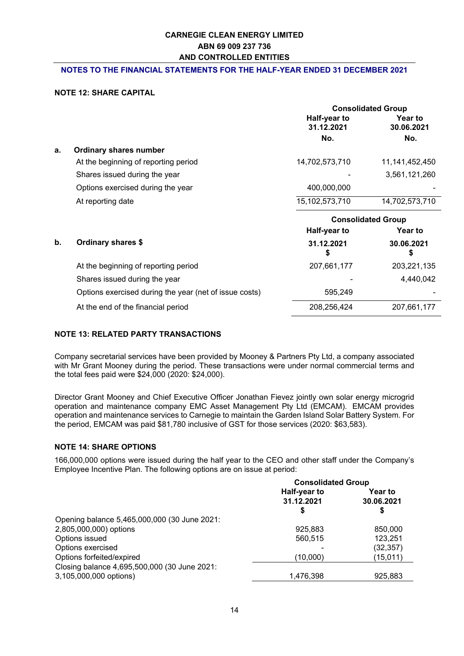#### **NOTES TO THE FINANCIAL STATEMENTS FOR THE HALF-YEAR ENDED 31 DECEMBER 2021**

#### **NOTE 12: SHARE CAPITAL**

|    |                                                        | <b>Consolidated Group</b>  |                           |
|----|--------------------------------------------------------|----------------------------|---------------------------|
|    |                                                        | Half-year to<br>31.12.2021 | Year to<br>30.06.2021     |
|    |                                                        | No.                        | No.                       |
| a. | <b>Ordinary shares number</b>                          |                            |                           |
|    | At the beginning of reporting period                   | 14,702,573,710             | 11,141,452,450            |
|    | Shares issued during the year                          |                            | 3,561,121,260             |
|    | Options exercised during the year                      | 400,000,000                |                           |
|    | At reporting date                                      | 15,102,573,710             | 14,702,573,710            |
|    |                                                        |                            | <b>Consolidated Group</b> |
|    |                                                        |                            |                           |
|    |                                                        | Half-year to               | <b>Year to</b>            |
| b. | Ordinary shares \$                                     | 31.12.2021<br>S            | 30.06.2021<br>\$          |
|    | At the beginning of reporting period                   | 207,661,177                | 203,221,135               |
|    | Shares issued during the year                          |                            | 4,440,042                 |
|    | Options exercised during the year (net of issue costs) | 595,249                    |                           |

### **NOTE 13: RELATED PARTY TRANSACTIONS**

Company secretarial services have been provided by Mooney & Partners Pty Ltd, a company associated with Mr Grant Mooney during the period. These transactions were under normal commercial terms and the total fees paid were \$24,000 (2020: \$24,000).

Director Grant Mooney and Chief Executive Officer Jonathan Fievez jointly own solar energy microgrid operation and maintenance company EMC Asset Management Pty Ltd (EMCAM). EMCAM provides operation and maintenance services to Carnegie to maintain the Garden Island Solar Battery System. For the period, EMCAM was paid \$81,780 inclusive of GST for those services (2020: \$63,583).

#### **NOTE 14: SHARE OPTIONS**

166,000,000 options were issued during the half year to the CEO and other staff under the Company's Employee Incentive Plan. The following options are on issue at period:

|                                                                        | <b>Consolidated Group</b>  |                             |  |
|------------------------------------------------------------------------|----------------------------|-----------------------------|--|
|                                                                        | Half-year to<br>31.12.2021 | Year to<br>30.06.2021<br>\$ |  |
| Opening balance 5,465,000,000 (30 June 2021:                           |                            |                             |  |
| 2,805,000,000) options                                                 | 925,883                    | 850,000                     |  |
| Options issued                                                         | 560,515                    | 123,251                     |  |
| Options exercised                                                      |                            | (32, 357)                   |  |
| Options forfeited/expired                                              | (10,000)                   | (15,011)                    |  |
| Closing balance 4,695,500,000 (30 June 2021:<br>3,105,000,000 options) | 1,476,398                  | 925,883                     |  |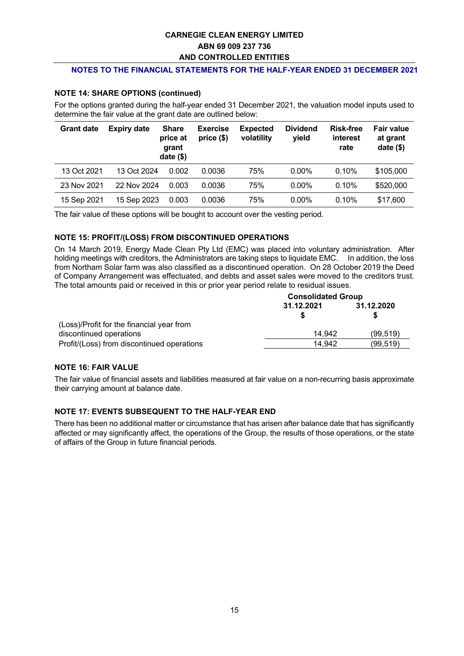#### **NOTES TO THE FINANCIAL STATEMENTS FOR THE HALF-YEAR ENDED 31 DECEMBER 2021**

#### **NOTE 14: SHARE OPTIONS (continued)**

For the options granted during the half-year ended 31 December 2021, the valuation model inputs used to determine the fair value at the grant date are outlined below:

| <b>Grant date</b> | <b>Expiry date</b> | <b>Share</b><br>price at<br>grant<br>date $($)$ | <b>Exercise</b><br>price (\$) | <b>Expected</b><br>volatility | <b>Dividend</b><br>yield | <b>Risk-free</b><br>interest<br>rate | <b>Fair value</b><br>at grant<br>date $($)$ |
|-------------------|--------------------|-------------------------------------------------|-------------------------------|-------------------------------|--------------------------|--------------------------------------|---------------------------------------------|
| 13 Oct 2021       | 13 Oct 2024        | 0.002                                           | 0.0036                        | 75%                           | $0.00\%$                 | 0.10%                                | \$105,000                                   |
| 23 Nov 2021       | 22 Nov 2024        | 0.003                                           | 0.0036                        | 75%                           | $0.00\%$                 | $0.10\%$                             | \$520,000                                   |
| 15 Sep 2021       | 15 Sep 2023        | 0.003                                           | 0.0036                        | 75%                           | $0.00\%$                 | 0.10%                                | \$17,600                                    |

The fair value of these options will be bought to account over the vesting period.

#### **NOTE 15: PROFIT/(LOSS) FROM DISCONTINUED OPERATIONS**

On 14 March 2019, Energy Made Clean Pty Ltd (EMC) was placed into voluntary administration. After holding meetings with creditors, the Administrators are taking steps to liquidate EMC. In addition, the loss from Northam Solar farm was also classified as a discontinued operation. On 28 October 2019 the Deed of Company Arrangement was effectuated, and debts and asset sales were moved to the creditors trust. The total amounts paid or received in this or prior year period relate to residual issues.

|                                            | <b>Consolidated Group</b> |            |  |
|--------------------------------------------|---------------------------|------------|--|
|                                            | 31.12.2021                | 31.12.2020 |  |
| (Loss)/Profit for the financial year from  |                           |            |  |
| discontinued operations                    | 14.942                    | (99, 519)  |  |
| Profit/(Loss) from discontinued operations | 14.942                    | (99, 519)  |  |

#### **NOTE 16: FAIR VALUE**

The fair value of financial assets and liabilities measured at fair value on a non-recurring basis approximate their carrying amount at balance date.

#### **NOTE 17: EVENTS SUBSEQUENT TO THE HALF-YEAR END**

There has been no additional matter or circumstance that has arisen after balance date that has significantly affected or may significantly affect, the operations of the Group, the results of those operations, or the state of affairs of the Group in future financial periods.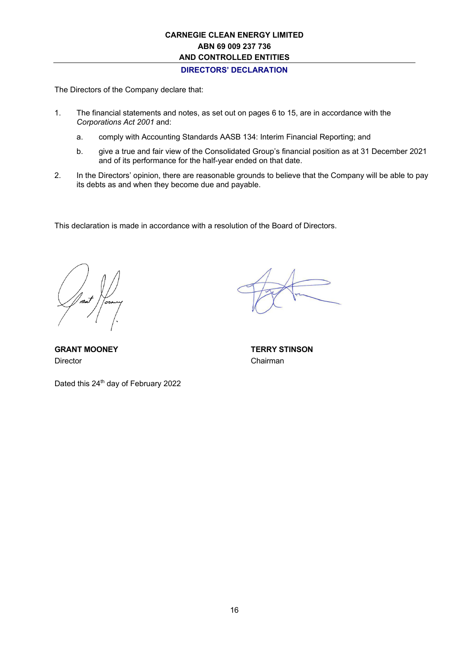**DIRECTORS' DECLARATION**

The Directors of the Company declare that:

- 1. The financial statements and notes, as set out on pages 6 to 15, are in accordance with the *Corporations Act 2001* and:
	- a. comply with Accounting Standards AASB 134: Interim Financial Reporting; and
	- b. give a true and fair view of the Consolidated Group's financial position as at 31 December 2021 and of its performance for the half-year ended on that date.
- 2. In the Directors' opinion, there are reasonable grounds to believe that the Company will be able to pay its debts as and when they become due and payable.

This declaration is made in accordance with a resolution of the Board of Directors.

Director **Chairman** 

Dated this 24<sup>th</sup> day of February 2022

**GRANT MOONEY TERRY STINSON**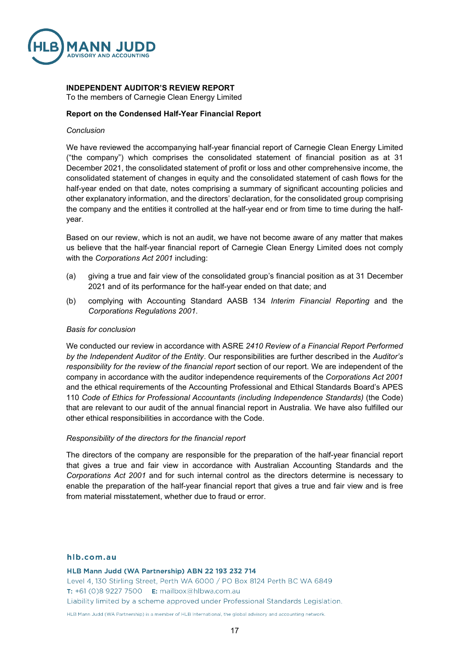

## **INDEPENDENT AUDITOR'S REVIEW REPORT**

To the members of Carnegie Clean Energy Limited

#### **Report on the Condensed Half-Year Financial Report**

#### *Conclusion*

We have reviewed the accompanying half-year financial report of Carnegie Clean Energy Limited ("the company") which comprises the consolidated statement of financial position as at 31 December 2021, the consolidated statement of profit or loss and other comprehensive income, the consolidated statement of changes in equity and the consolidated statement of cash flows for the half-year ended on that date, notes comprising a summary of significant accounting policies and other explanatory information, and the directors' declaration, for the consolidated group comprising the company and the entities it controlled at the half-year end or from time to time during the halfyear.

Based on our review, which is not an audit, we have not become aware of any matter that makes us believe that the half-year financial report of Carnegie Clean Energy Limited does not comply with the *Corporations Act 2001* including:

- (a) giving a true and fair view of the consolidated group's financial position as at 31 December 2021 and of its performance for the half-year ended on that date; and
- (b) complying with Accounting Standard AASB 134 *Interim Financial Reporting* and the *Corporations Regulations 2001*.

#### *Basis for conclusion*

We conducted our review in accordance with ASRE *2410 Review of a Financial Report Performed by the Independent Auditor of the Entity*. Our responsibilities are further described in the *Auditor's responsibility for the review of the financial report* section of our report. We are independent of the company in accordance with the auditor independence requirements of the *Corporations Act 2001* and the ethical requirements of the Accounting Professional and Ethical Standards Board's APES 110 *Code of Ethics for Professional Accountants (including Independence Standards)* (the Code) that are relevant to our audit of the annual financial report in Australia. We have also fulfilled our other ethical responsibilities in accordance with the Code.

#### *Responsibility of the directors for the financial report*

The directors of the company are responsible for the preparation of the half-year financial report that gives a true and fair view in accordance with Australian Accounting Standards and the *Corporations Act 2001* and for such internal control as the directors determine is necessary to enable the preparation of the half-year financial report that gives a true and fair view and is free from material misstatement, whether due to fraud or error.

#### hlb.com.au

HLB Mann Judd (WA Partnership) ABN 22 193 232 714 Level 4, 130 Stirling Street, Perth WA 6000 / PO Box 8124 Perth BC WA 6849 T: +61 (0)8 9227 7500 E: mailbox@hlbwa.com.au Liability limited by a scheme approved under Professional Standards Legislation.

HLB Mann Judd (WA Partnership) is a member of HLB International, the global advisory and accounting network